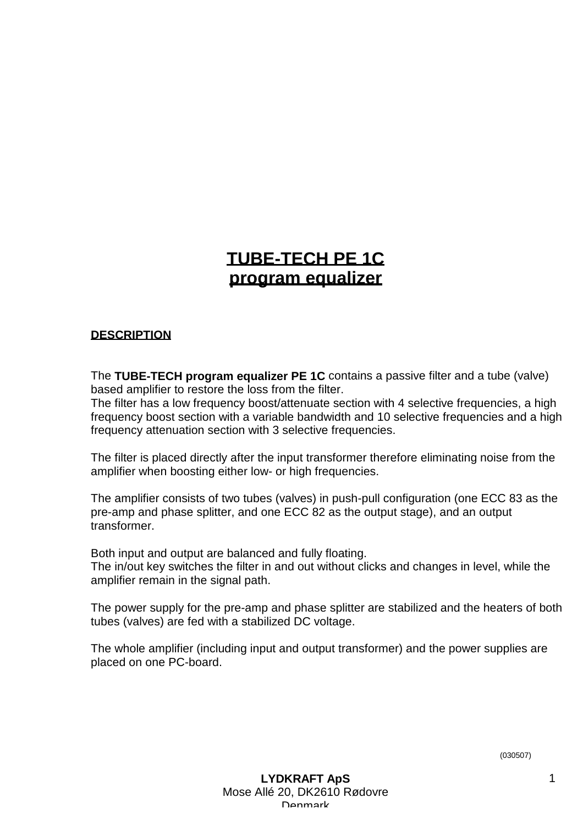# **TUBE-TECH PE 1C program equalizer**

## **DESCRIPTION**

The **TUBE-TECH program equalizer PE 1C** contains a passive filter and a tube (valve) based amplifier to restore the loss from the filter.

The filter has a low frequency boost/attenuate section with 4 selective frequencies, a high frequency boost section with a variable bandwidth and 10 selective frequencies and a high frequency attenuation section with 3 selective frequencies.

The filter is placed directly after the input transformer therefore eliminating noise from the amplifier when boosting either low- or high frequencies.

The amplifier consists of two tubes (valves) in push-pull configuration (one ECC 83 as the pre-amp and phase splitter, and one ECC 82 as the output stage), and an output transformer.

Both input and output are balanced and fully floating.

The in/out key switches the filter in and out without clicks and changes in level, while the amplifier remain in the signal path.

The power supply for the pre-amp and phase splitter are stabilized and the heaters of both tubes (valves) are fed with a stabilized DC voltage.

The whole amplifier (including input and output transformer) and the power supplies are placed on one PC-board.

(030507)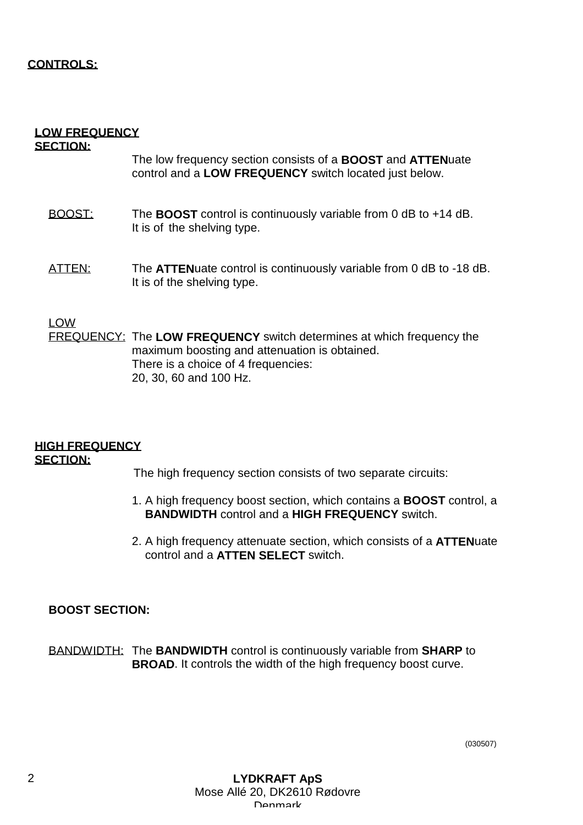## **CONTROLS:**

#### **LOW FREQUENCY SECTION:**

## The low frequency section consists of a **BOOST** and **ATTEN**uate control and a **LOW FREQUENCY** switch located just below.

- BOOST: The **BOOST** control is continuously variable from 0 dB to +14 dB. It is of the shelving type.
- ATTEN: The **ATTEN**uate control is continuously variable from 0 dB to -18 dB. It is of the shelving type.

#### LOW

FREQUENCY: The **LOW FREQUENCY** switch determines at which frequency the maximum boosting and attenuation is obtained. There is a choice of 4 frequencies: 20, 30, 60 and 100 Hz.

#### **HIGH FREQUENCY SECTION:**

The high frequency section consists of two separate circuits:

- 1. A high frequency boost section, which contains a **BOOST** control, a **BANDWIDTH** control and a **HIGH FREQUENCY** switch.
- 2. A high frequency attenuate section, which consists of a **ATTEN**uate control and a **ATTEN SELECT** switch.

## **BOOST SECTION:**

BANDWIDTH: The **BANDWIDTH** control is continuously variable from **SHARP** to **BROAD**. It controls the width of the high frequency boost curve.